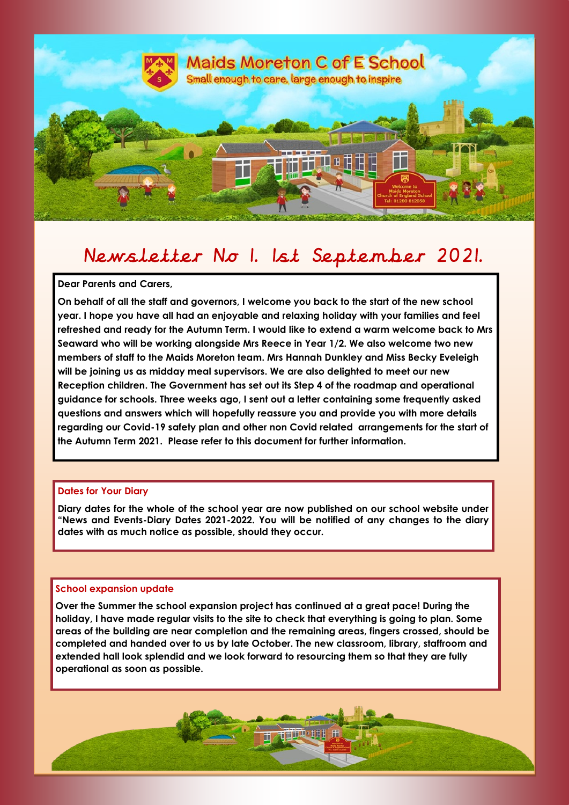

# Newsletter No 1. 1st September 2021.

**Dear Parents and Carers,**

in.

ri i

ri i

i

i,

i,

**On behalf of all the staff and governors, I welcome you back to the start of the new school year. I hope you have all had an enjoyable and relaxing holiday with your families and feel refreshed and ready for the Autumn Term. I would like to extend a warm welcome back to Mrs Seaward who will be working alongside Mrs Reece in Year 1/2. We also welcome two new members of staff to the Maids Moreton team. Mrs Hannah Dunkley and Miss Becky Eveleigh will be joining us as midday meal supervisors. We are also delighted to meet our new Reception children. The Government has set out its Step 4 of the roadmap and operational guidance for schools. Three weeks ago, I sent out a letter containing some frequently asked questions and answers which will hopefully reassure you and provide you with more details regarding our Covid-19 safety plan and other non Covid related arrangements for the start of the Autumn Term 2021. Please refer to this document for further information.** 

# **Dates for Your Diary**

**Diary dates for the whole of the school year are now published on our school website under "News and Events-Diary Dates 2021-2022. You will be notified of any changes to the diary dates with as much notice as possible, should they occur.** 

# **School expansion update**

**Over the Summer the school expansion project has continued at a great pace! During the holiday, I have made regular visits to the site to check that everything is going to plan. Some areas of the building are near completion and the remaining areas, fingers crossed, should be completed and handed over to us by late October. The new classroom, library, staffroom and extended hall look splendid and we look forward to resourcing them so that they are fully operational as soon as possible.** 

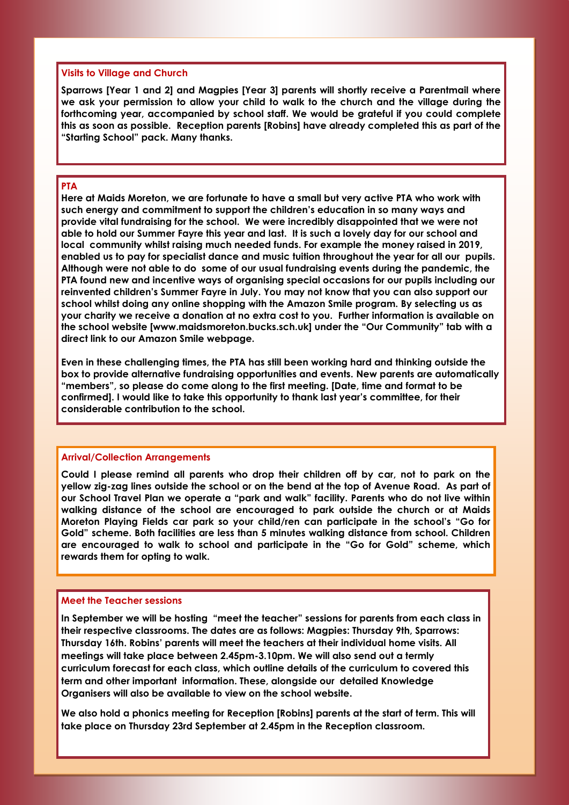# **Visits to Village and Church**

**Sparrows [Year 1 and 2] and Magpies [Year 3] parents will shortly receive a Parentmail where we ask your permission to allow your child to walk to the church and the village during the forthcoming year, accompanied by school staff. We would be grateful if you could complete this as soon as possible. Reception parents [Robins] have already completed this as part of the "Starting School" pack. Many thanks.**

### **PTA**

**Here at Maids Moreton, we are fortunate to have a small but very active PTA who work with such energy and commitment to support the children's education in so many ways and provide vital fundraising for the school. We were incredibly disappointed that we were not able to hold our Summer Fayre this year and last. It is such a lovely day for our school and local community whilst raising much needed funds. For example the money raised in 2019, enabled us to pay for specialist dance and music tuition throughout the year for all our pupils. Although were not able to do some of our usual fundraising events during the pandemic, the PTA found new and incentive ways of organising special occasions for our pupils including our reinvented children's Summer Fayre in July. You may not know that you can also support our school whilst doing any online shopping with the Amazon Smile program. By selecting us as your charity we receive a donation at no extra cost to you. Further information is available on the school website [www.maidsmoreton.bucks.sch.uk] under the "Our Community" tab with a direct link to our Amazon Smile webpage.**

**Even in these challenging times, the PTA has still been working hard and thinking outside the box to provide alternative fundraising opportunities and events. New parents are automatically "members", so please do come along to the first meeting. [Date, time and format to be confirmed]. I would like to take this opportunity to thank last year's committee, for their considerable contribution to the school.**

#### **Arrival/Collection Arrangements**

**Could I please remind all parents who drop their children off by car, not to park on the yellow zig-zag lines outside the school or on the bend at the top of Avenue Road. As part of our School Travel Plan we operate a "park and walk" facility. Parents who do not live within walking distance of the school are encouraged to park outside the church or at Maids Moreton Playing Fields car park so your child/ren can participate in the school's "Go for Gold" scheme. Both facilities are less than 5 minutes walking distance from school. Children are encouraged to walk to school and participate in the "Go for Gold" scheme, which rewards them for opting to walk.** 

#### **Meet the Teacher sessions**

**In September we will be hosting "meet the teacher" sessions for parents from each class in their respective classrooms. The dates are as follows: Magpies: Thursday 9th, Sparrows: Thursday 16th. Robins' parents will meet the teachers at their individual home visits. All meetings will take place between 2.45pm-3.10pm. We will also send out a termly curriculum forecast for each class, which outline details of the curriculum to covered this term and other important information. These, alongside our detailed Knowledge Organisers will also be available to view on the school website.** 

**We also hold a phonics meeting for Reception [Robins] parents at the start of term. This will take place on Thursday 23rd September at 2.45pm in the Reception classroom.**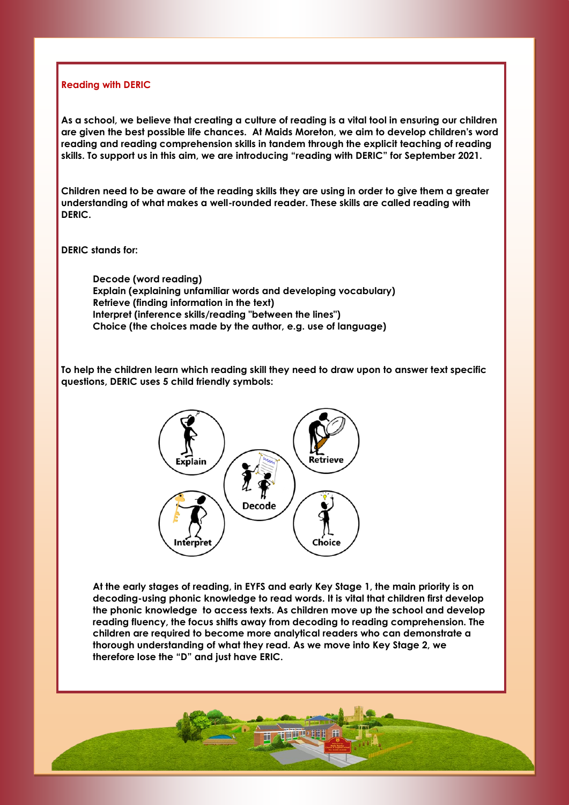### **Reading with DERIC**

 **As a school, we believe that creating a culture of reading is a vital tool in ensuring our children skills. To support us in this aim, we are introducing "reading with DERIC" for September 2021. are given the best possible life chances. At Maids Moreton, we aim to develop children's word reading and reading comprehension skills in tandem through the explicit teaching of reading** 

 **Children need to be aware of the reading skills they are using in order to give them a greater understanding of what makes a well-rounded reader. These skills are called reading with DERIC.**

**DERIC stands for:**

 **Explain (explaining unfamiliar words and developing vocabulary) Choice (the choices made by the author, e.g. use of language) Decode (word reading) Retrieve (finding information in the text) Interpret (inference skills/reading "between the lines")**

**To help the children learn which reading skill they need to draw upon to answer text specific questions, DERIC uses 5 child friendly symbols:** 



 **decoding-using phonic knowledge to read words. It is vital that children first develop children are required to become more analytical readers who can demonstrate a At the early stages of reading, in EYFS and early Key Stage 1, the main priority is on the phonic knowledge to access texts. As children move up the school and develop reading fluency, the focus shifts away from decoding to reading comprehension. The thorough understanding of what they read. As we move into Key Stage 2, we therefore lose the "D" and just have ERIC.**

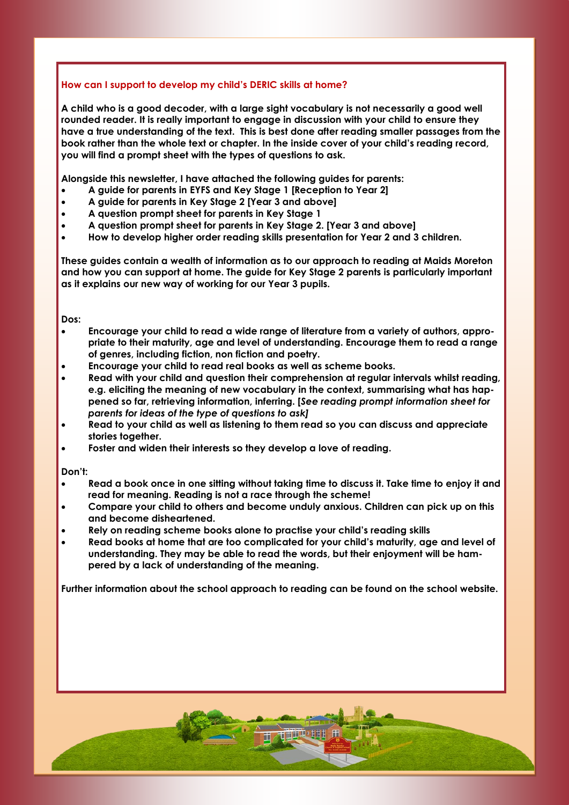# **How can I support to develop my child's DERIC skills at home?**

 **rounded reader. It is really important to engage in discussion with your child to ensure they you will find a prompt sheet with the types of questions to ask. A child who is a good decoder, with a large sight vocabulary is not necessarily a good well have a true understanding of the text. This is best done after reading smaller passages from the book rather than the whole text or chapter. In the inside cover of your child's reading record,** 

**Alongside this newsletter, I have attached the following guides for parents:**

- **A guide for parents in EYFS and Key Stage 1 [Reception to Year 2]**
- **A guide for parents in Key Stage 2 [Year 3 and above]**
- **A question prompt sheet for parents in Key Stage 1**
- **A question prompt sheet for parents in Key Stage 2. [Year 3 and above]**
- **How to develop higher order reading skills presentation for Year 2 and 3 children.**

 **These guides contain a wealth of information as to our approach to reading at Maids Moreton as it explains our new way of working for our Year 3 pupils. and how you can support at home. The guide for Key Stage 2 parents is particularly important** 

**Dos:**

- **Encourage your child to read a wide range of literature from a variety of authors, appro- of genres, including fiction, non fiction and poetry. priate to their maturity, age and level of understanding. Encourage them to read a range**
- **Encourage your child to read real books as well as scheme books.**
- **e.g. eliciting the meaning of new vocabulary in the context, summarising what has hap- Read with your child and question their comprehension at regular intervals whilst reading, pened so far, retrieving information, inferring. [***See reading prompt information sheet for parents for ideas of the type of questions to ask]*
- **Read to your child as well as listening to them read so you can discuss and appreciate stories together.**
- **Foster and widen their interests so they develop a love of reading.**

**Don't:**

- **read for meaning. Reading is not a race through the scheme! Read a book once in one sitting without taking time to discuss it. Take time to enjoy it and**
- **Compare your child to others and become unduly anxious. Children can pick up on this and become disheartened.**
- **Rely on reading scheme books alone to practise your child's reading skills**
- **pered by a lack of understanding of the meaning. Read books at home that are too complicated for your child's maturity, age and level of understanding. They may be able to read the words, but their enjoyment will be ham-**

**Further information about the school approach to reading can be found on the school website.**